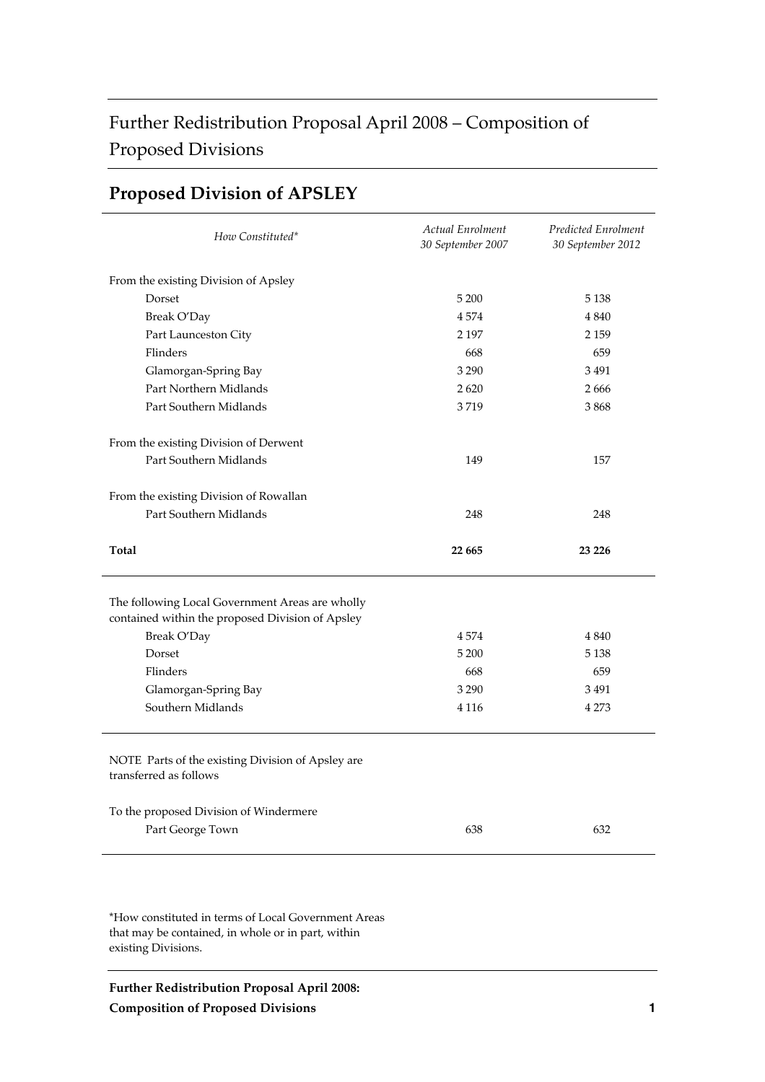# Further Redistribution Proposal April 2008 – Composition of Proposed Divisions

| How Constituted*                                                                                    | Actual Enrolment<br>30 September 2007 | <b>Predicted Enrolment</b><br>30 September 2012 |
|-----------------------------------------------------------------------------------------------------|---------------------------------------|-------------------------------------------------|
| From the existing Division of Apsley                                                                |                                       |                                                 |
| Dorset                                                                                              | 5 200                                 | 5 1 3 8                                         |
| Break O'Day                                                                                         | 4574                                  | 4 8 4 0                                         |
| Part Launceston City                                                                                | 2 1 9 7                               | 2 1 5 9                                         |
| Flinders                                                                                            | 668                                   | 659                                             |
| Glamorgan-Spring Bay                                                                                | 3 2 9 0                               | 3491                                            |
| Part Northern Midlands                                                                              | 2620                                  | 2666                                            |
| Part Southern Midlands                                                                              | 3719                                  | 3868                                            |
| From the existing Division of Derwent                                                               |                                       |                                                 |
| Part Southern Midlands                                                                              | 149                                   | 157                                             |
| From the existing Division of Rowallan                                                              |                                       |                                                 |
| Part Southern Midlands                                                                              | 248                                   | 248                                             |
| <b>Total</b>                                                                                        | 22 665                                | 23 226                                          |
| The following Local Government Areas are wholly<br>contained within the proposed Division of Apsley |                                       |                                                 |
| Break O'Day                                                                                         | 4574                                  | 4 8 4 0                                         |
| Dorset                                                                                              | 5 200                                 | 5 1 3 8                                         |
| Flinders                                                                                            | 668                                   | 659                                             |
| Glamorgan-Spring Bay                                                                                | 3 2 9 0                               | 3491                                            |
| Southern Midlands                                                                                   | 4 1 1 6                               | 4 2 7 3                                         |
| NOTE Parts of the existing Division of Apsley are<br>transferred as follows                         |                                       |                                                 |
|                                                                                                     |                                       |                                                 |
| To the proposed Division of Windermere<br>Part George Town                                          | 638                                   | 632                                             |

#### **Proposed Division of APSLEY**

\*How constituted in terms of Local Government Areas that may be contained, in whole or in part, within existing Divisions.

**Further Redistribution Proposal April 2008: Composition of Proposed Divisions 1**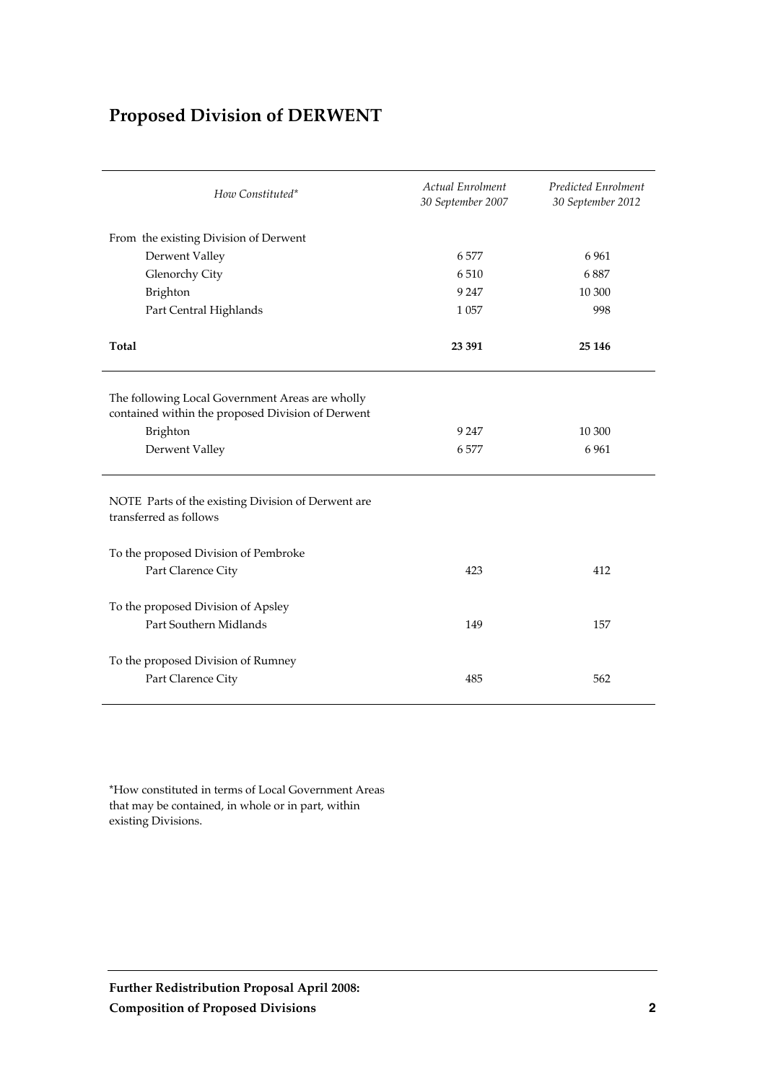# **Proposed Division of DERWENT**

| How Constituted*                                                                                                 | <b>Actual Enrolment</b><br>30 September 2007 | Predicted Enrolment<br>30 September 2012 |
|------------------------------------------------------------------------------------------------------------------|----------------------------------------------|------------------------------------------|
| From the existing Division of Derwent                                                                            |                                              |                                          |
| Derwent Valley                                                                                                   | 6577                                         | 6961                                     |
| Glenorchy City                                                                                                   | 6510                                         | 6887                                     |
| Brighton                                                                                                         | 9 2 4 7                                      | 10 300                                   |
| Part Central Highlands                                                                                           | 1 0 5 7                                      | 998                                      |
| Total                                                                                                            | 23 391                                       | 25 146                                   |
| The following Local Government Areas are wholly<br>contained within the proposed Division of Derwent<br>Brighton | 9 2 4 7                                      | 10 300                                   |
| Derwent Valley                                                                                                   | 6577                                         | 6961                                     |
| NOTE Parts of the existing Division of Derwent are<br>transferred as follows                                     |                                              |                                          |
| To the proposed Division of Pembroke<br>Part Clarence City                                                       | 423                                          | 412                                      |
| To the proposed Division of Apsley<br>Part Southern Midlands                                                     | 149                                          | 157                                      |
| To the proposed Division of Rumney<br>Part Clarence City                                                         | 485                                          | 562                                      |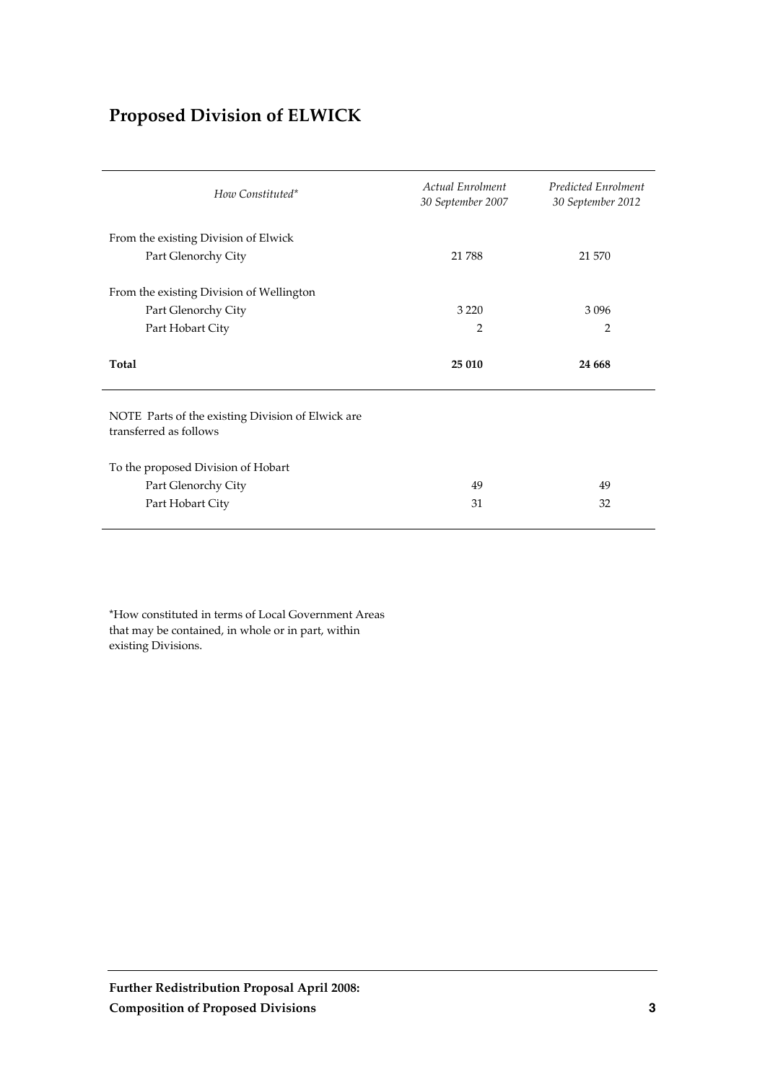# **Proposed Division of ELWICK**

| How Constituted*                                                            | Actual Enrolment<br>30 September 2007 | <b>Predicted Enrolment</b><br>30 September 2012 |
|-----------------------------------------------------------------------------|---------------------------------------|-------------------------------------------------|
| From the existing Division of Elwick                                        |                                       |                                                 |
| Part Glenorchy City                                                         | 21788                                 | 21 570                                          |
| From the existing Division of Wellington                                    |                                       |                                                 |
| Part Glenorchy City                                                         | 3 2 2 0                               | 3096                                            |
| Part Hobart City                                                            | $\overline{2}$                        | $\overline{2}$                                  |
| Total                                                                       | 25 010                                | 24 6 6 8                                        |
| NOTE Parts of the existing Division of Elwick are<br>transferred as follows |                                       |                                                 |
|                                                                             |                                       |                                                 |
| To the proposed Division of Hobart                                          |                                       |                                                 |
| Part Glenorchy City                                                         | 49                                    | 49                                              |
| Part Hobart City                                                            | 31                                    | 32                                              |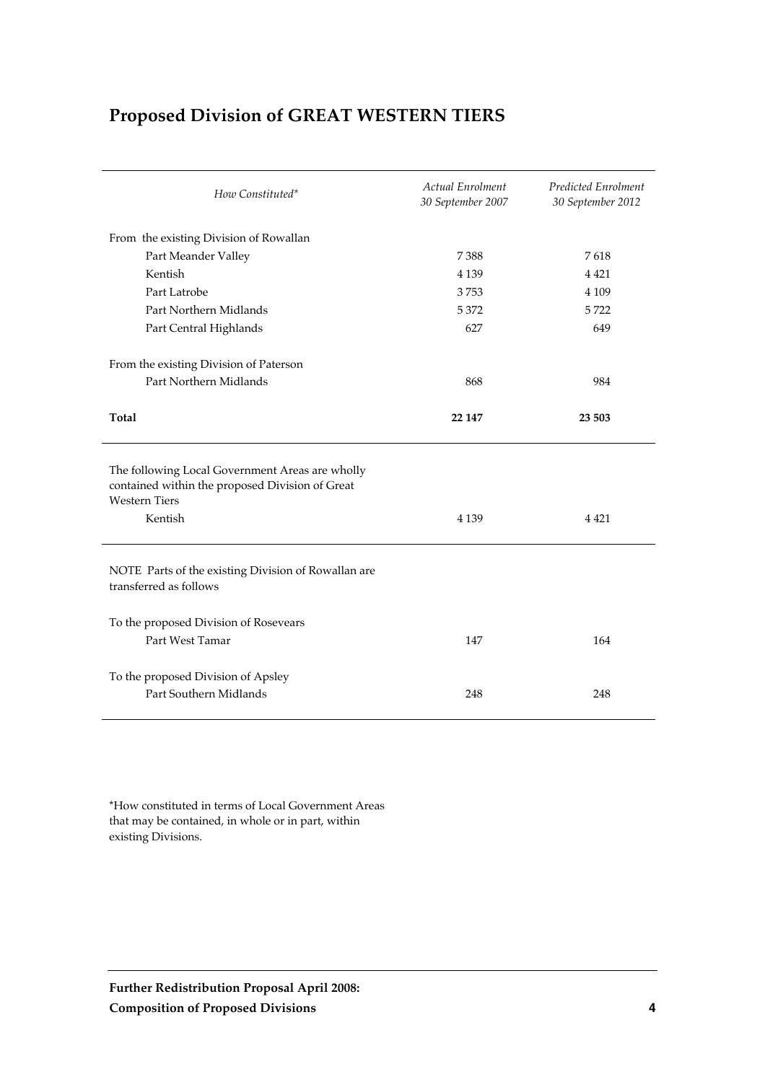# **Proposed Division of GREAT WESTERN TIERS**

| How Constituted*                                                                                                                      | <b>Actual Enrolment</b><br>30 September 2007 | <b>Predicted Enrolment</b><br>30 September 2012 |
|---------------------------------------------------------------------------------------------------------------------------------------|----------------------------------------------|-------------------------------------------------|
| From the existing Division of Rowallan                                                                                                |                                              |                                                 |
| Part Meander Valley                                                                                                                   | 7388                                         | 7618                                            |
| Kentish                                                                                                                               | 4 1 3 9                                      | 4 4 2 1                                         |
| Part Latrobe                                                                                                                          | 3753                                         | 4 1 0 9                                         |
| Part Northern Midlands                                                                                                                | 5372                                         | 5722                                            |
| Part Central Highlands                                                                                                                | 627                                          | 649                                             |
| From the existing Division of Paterson                                                                                                |                                              |                                                 |
| Part Northern Midlands                                                                                                                | 868                                          | 984                                             |
| Total                                                                                                                                 | 22 147                                       | 23 503                                          |
| The following Local Government Areas are wholly<br>contained within the proposed Division of Great<br><b>Western Tiers</b><br>Kentish | 4 1 3 9                                      | 4 4 2 1                                         |
| NOTE Parts of the existing Division of Rowallan are<br>transferred as follows                                                         |                                              |                                                 |
| To the proposed Division of Rosevears<br>Part West Tamar                                                                              | 147                                          | 164                                             |
| To the proposed Division of Apsley<br>Part Southern Midlands                                                                          | 248                                          | 248                                             |

\*How constituted in terms of Local Government Areas that may be contained, in whole or in part, within existing Divisions.

**Further Redistribution Proposal April 2008: Composition of Proposed Divisions 4**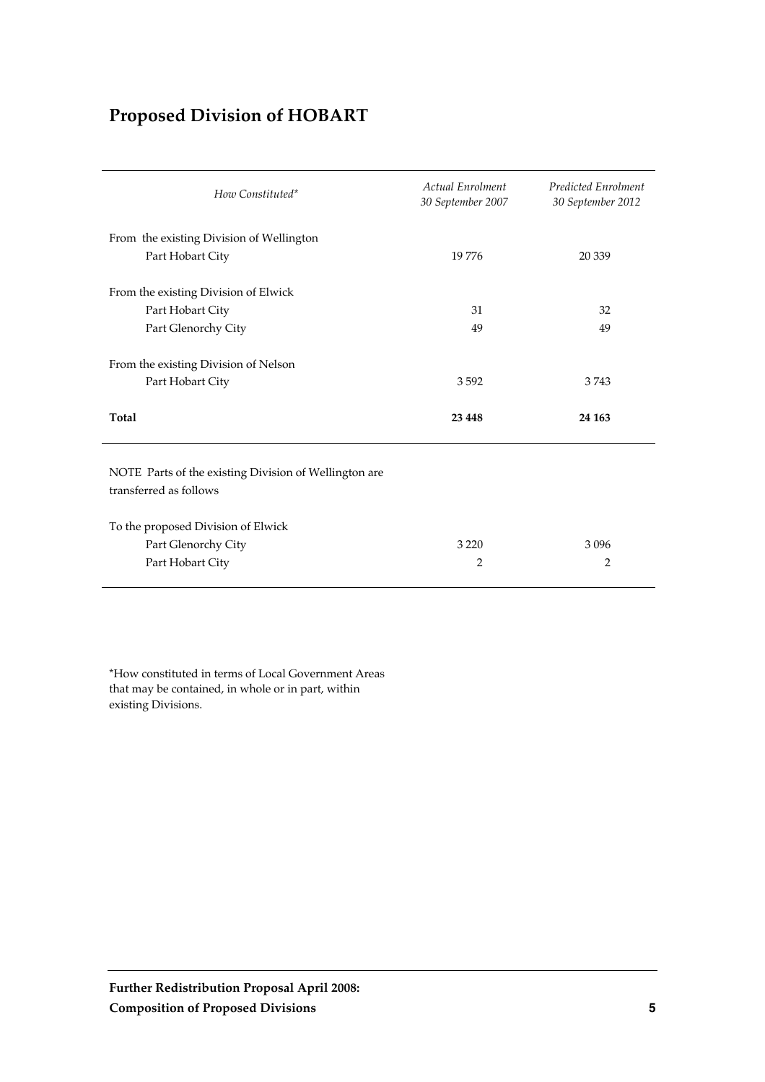# **Proposed Division of HOBART**

| How Constituted*                                      | <b>Actual Enrolment</b><br>30 September 2007 | <b>Predicted Enrolment</b><br>30 September 2012 |
|-------------------------------------------------------|----------------------------------------------|-------------------------------------------------|
| From the existing Division of Wellington              |                                              |                                                 |
| Part Hobart City                                      | 19776                                        | 20 339                                          |
| From the existing Division of Elwick                  |                                              |                                                 |
| Part Hobart City                                      | 31                                           | 32                                              |
| Part Glenorchy City                                   | 49                                           | 49                                              |
| From the existing Division of Nelson                  |                                              |                                                 |
| Part Hobart City                                      | 3592                                         | 3743                                            |
| Total                                                 | 23 4 48                                      | 24 163                                          |
| NOTE Parts of the existing Division of Wellington are |                                              |                                                 |
| transferred as follows                                |                                              |                                                 |
| To the proposed Division of Elwick                    |                                              |                                                 |
| Part Glenorchy City                                   | 3 2 2 0                                      | 3096                                            |
| Part Hobart City                                      | $\overline{2}$                               | 2                                               |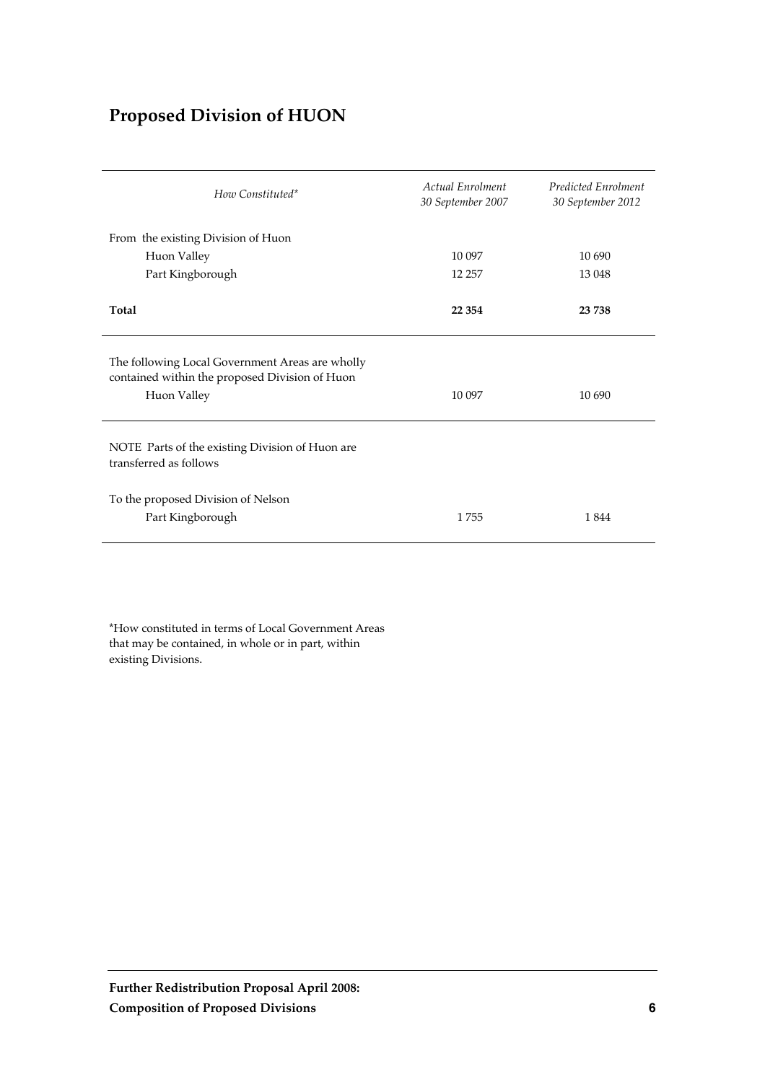# **Proposed Division of HUON**

| How Constituted*                                                                                                 | <b>Actual Enrolment</b><br>30 September 2007 | <b>Predicted Enrolment</b><br>30 September 2012 |
|------------------------------------------------------------------------------------------------------------------|----------------------------------------------|-------------------------------------------------|
| From the existing Division of Huon                                                                               |                                              |                                                 |
| Huon Valley                                                                                                      | 10 097                                       | 10 690                                          |
| Part Kingborough                                                                                                 | 12 257                                       | 13 048                                          |
| Total                                                                                                            | 22 3 54                                      | 23738                                           |
| The following Local Government Areas are wholly<br>contained within the proposed Division of Huon<br>Huon Valley | 10 097                                       | 10 690                                          |
| NOTE Parts of the existing Division of Huon are<br>transferred as follows                                        |                                              |                                                 |
| To the proposed Division of Nelson<br>Part Kingborough                                                           | 1755                                         | 1844                                            |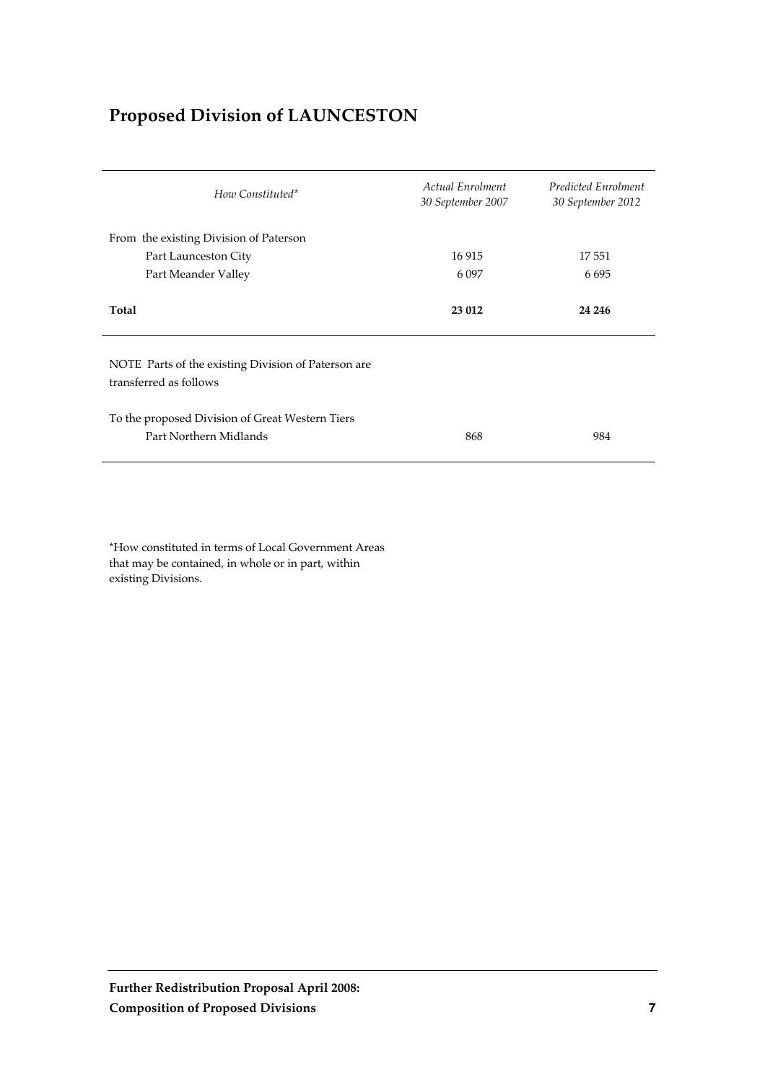# **Proposed Division of LAUNCESTON**

| How Constituted*                                                              | Actual Enrolment<br>30 September 2007 | Predicted Enrolment<br>30 September 2012 |
|-------------------------------------------------------------------------------|---------------------------------------|------------------------------------------|
| From the existing Division of Paterson                                        |                                       |                                          |
| Part Launceston City                                                          | 16915                                 | 17551                                    |
| Part Meander Valley                                                           | 6 0 9 7                               | 6695                                     |
| Total                                                                         | 23 012                                | 24 24 6                                  |
| NOTE Parts of the existing Division of Paterson are<br>transferred as follows |                                       |                                          |
| To the proposed Division of Great Western Tiers<br>Part Northern Midlands     | 868                                   | 984                                      |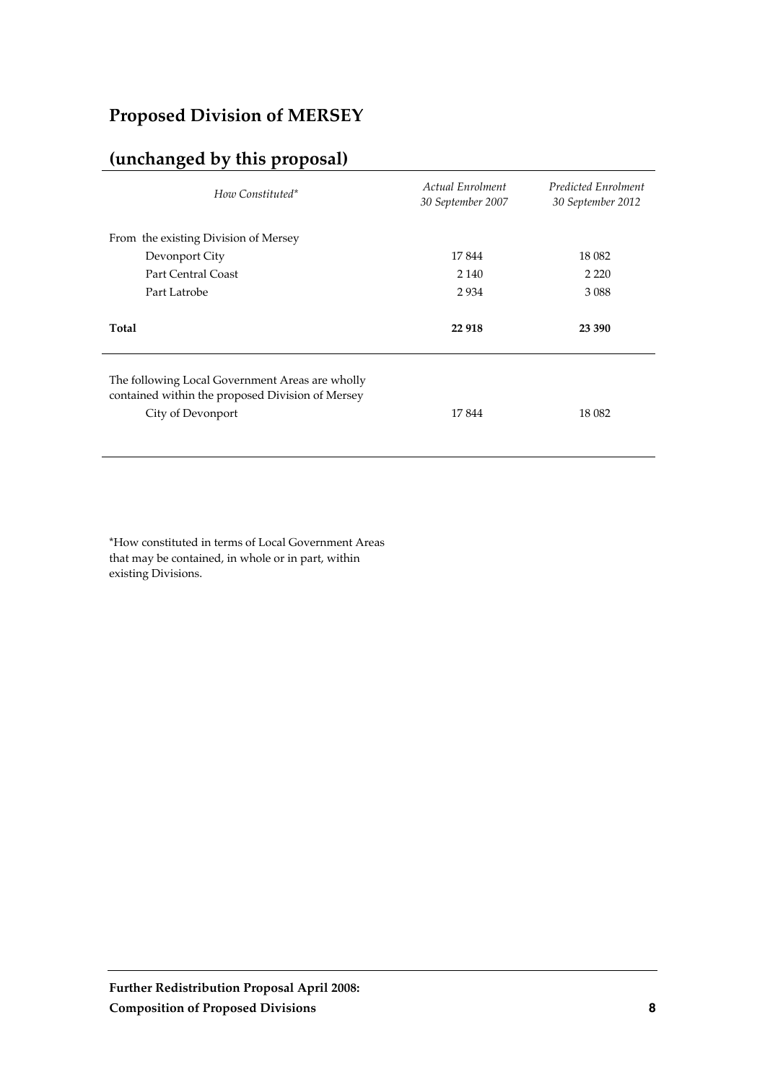# **Proposed Division of MERSEY**

# **(unchanged by this proposal)**

| Actual Enrolment<br>30 September 2007 | Predicted Enrolment<br>30 September 2012 |
|---------------------------------------|------------------------------------------|
|                                       |                                          |
| 17844                                 | 18 082                                   |
| 2 1 4 0                               | 2 2 2 0                                  |
| 2934                                  | 3088                                     |
| 22 918                                | 23 390                                   |
| 17844                                 | 18 082                                   |
|                                       |                                          |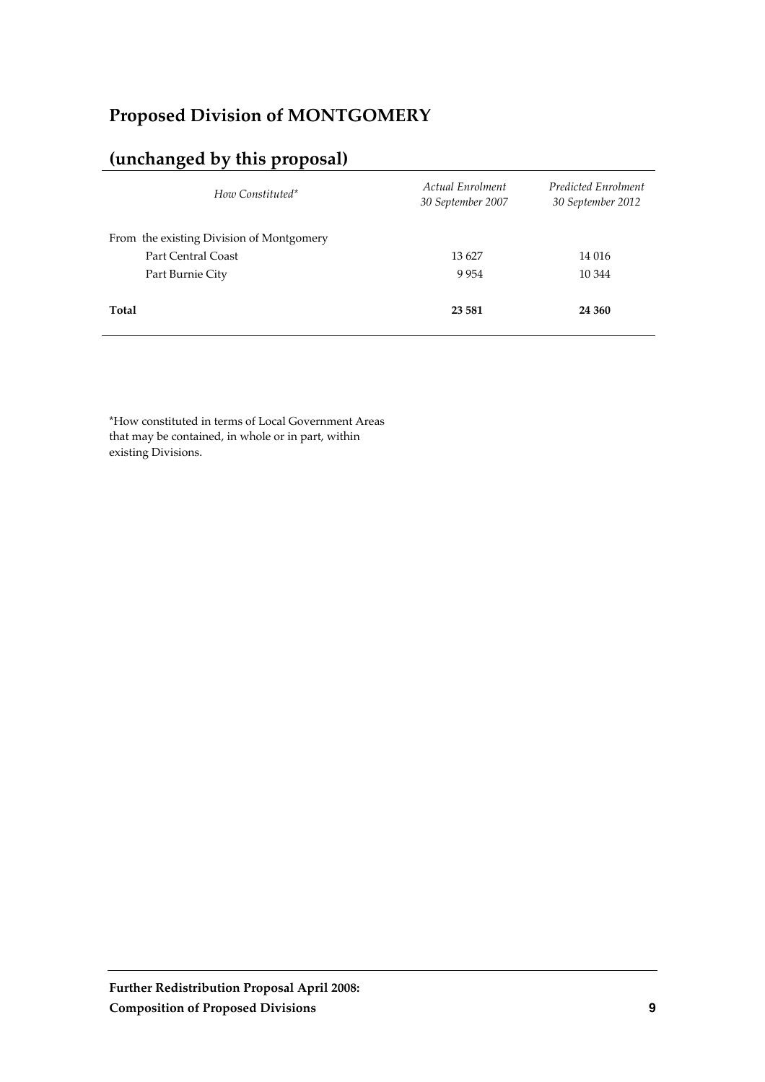# **Proposed Division of MONTGOMERY**

# **(unchanged by this proposal)**

| How Constituted*                         | Actual Enrolment<br>30 September 2007 | Predicted Enrolment<br>30 September 2012 |
|------------------------------------------|---------------------------------------|------------------------------------------|
| From the existing Division of Montgomery |                                       |                                          |
| Part Central Coast                       | 13627                                 | 14 016                                   |
| Part Burnie City                         | 9954                                  | 10 344                                   |
| Total                                    | 23 5 81                               | 24 360                                   |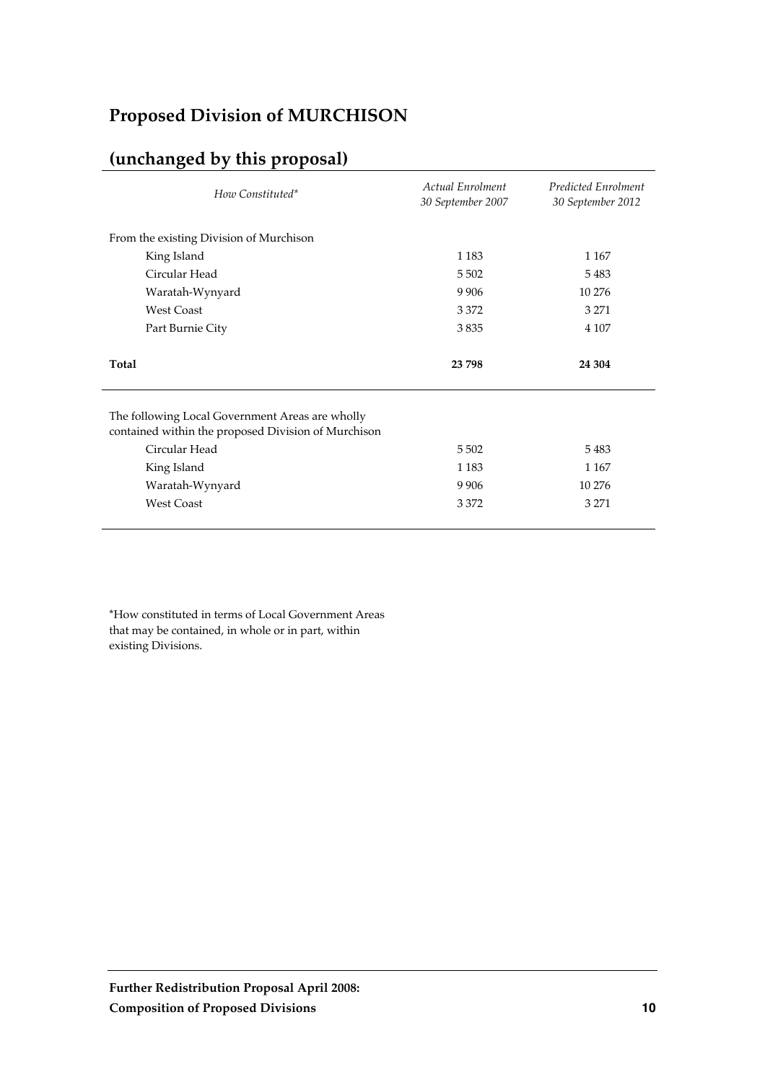# **Proposed Division of MURCHISON**

# **(unchanged by this proposal)**

| How Constituted*                                                                                       | Actual Enrolment<br>30 September 2007 | <b>Predicted Enrolment</b><br>30 September 2012 |
|--------------------------------------------------------------------------------------------------------|---------------------------------------|-------------------------------------------------|
| From the existing Division of Murchison                                                                |                                       |                                                 |
| King Island                                                                                            | 1 1 8 3                               | 1 1 6 7                                         |
| Circular Head                                                                                          | 5 5 0 2                               | 5483                                            |
| Waratah-Wynyard                                                                                        | 9 9 0 6                               | 10 276                                          |
| <b>West Coast</b>                                                                                      | 3 3 7 2                               | 3 2 7 1                                         |
| Part Burnie City                                                                                       | 3835                                  | 4 107                                           |
| Total                                                                                                  | 23 798                                | 24 304                                          |
| The following Local Government Areas are wholly<br>contained within the proposed Division of Murchison |                                       |                                                 |
| Circular Head                                                                                          | 5 5 0 2                               | 5483                                            |
| King Island                                                                                            | 1 1 8 3                               | 1 1 6 7                                         |
| Waratah-Wynyard                                                                                        | 9 9 0 6                               | 10 276                                          |
| <b>West Coast</b>                                                                                      | 3 3 7 2                               | 3 2 7 1                                         |
|                                                                                                        |                                       |                                                 |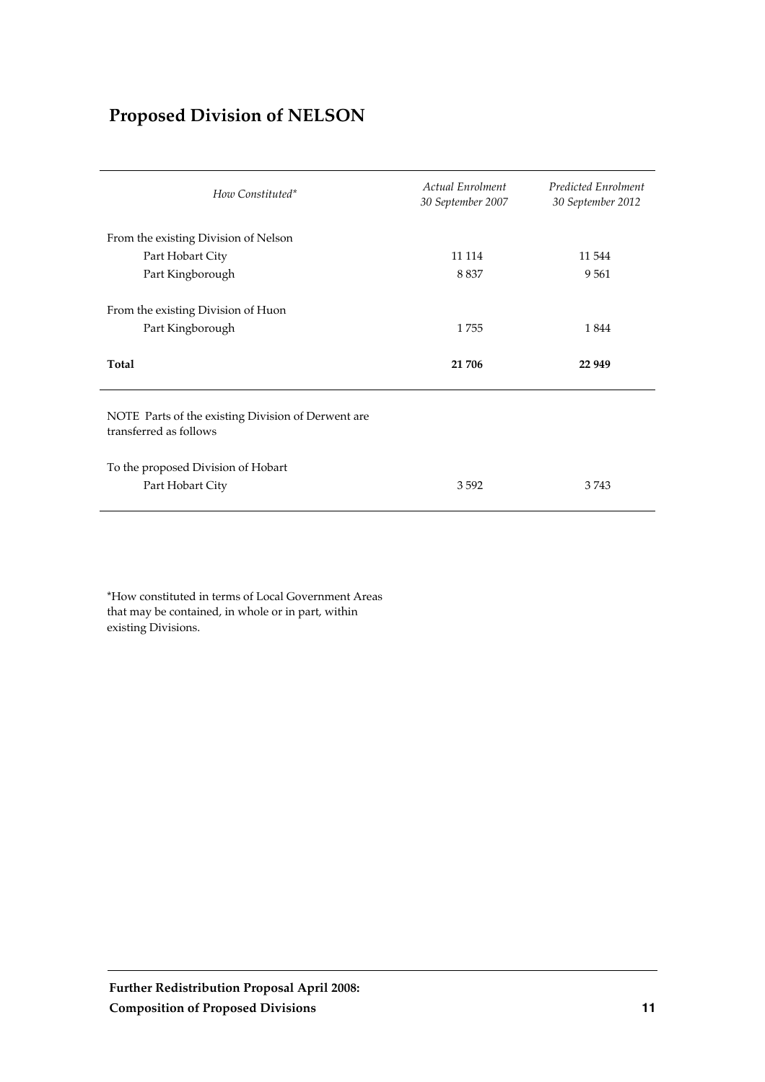# **Proposed Division of NELSON**

| How Constituted*                                                             | Actual Enrolment<br>30 September 2007 | Predicted Enrolment<br>30 September 2012 |
|------------------------------------------------------------------------------|---------------------------------------|------------------------------------------|
| From the existing Division of Nelson                                         |                                       |                                          |
| Part Hobart City                                                             | 11 114                                | 11 544                                   |
| Part Kingborough                                                             | 8837                                  | 9561                                     |
| From the existing Division of Huon<br>Part Kingborough                       | 1755                                  | 1844                                     |
| Total                                                                        | 21706                                 | 22 9 49                                  |
| NOTE Parts of the existing Division of Derwent are<br>transferred as follows |                                       |                                          |
| To the proposed Division of Hobart<br>Part Hobart City                       | 3592                                  | 3743                                     |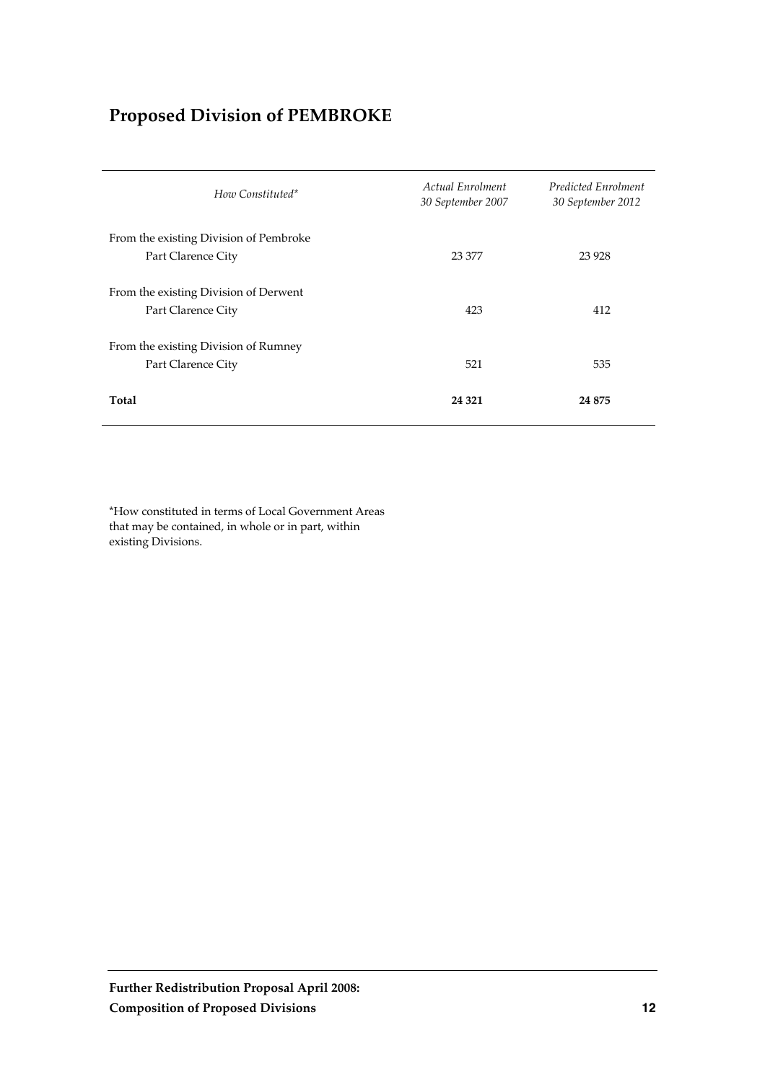# **Proposed Division of PEMBROKE**

| How Constituted*                                             | Actual Enrolment<br>30 September 2007 | Predicted Enrolment<br>30 September 2012 |
|--------------------------------------------------------------|---------------------------------------|------------------------------------------|
| From the existing Division of Pembroke<br>Part Clarence City | 23 377                                | 23 9 28                                  |
| From the existing Division of Derwent<br>Part Clarence City  | 423                                   | 412                                      |
| From the existing Division of Rumney<br>Part Clarence City   | 521                                   | 535                                      |
| Total                                                        | 24 3 21                               | 24 875                                   |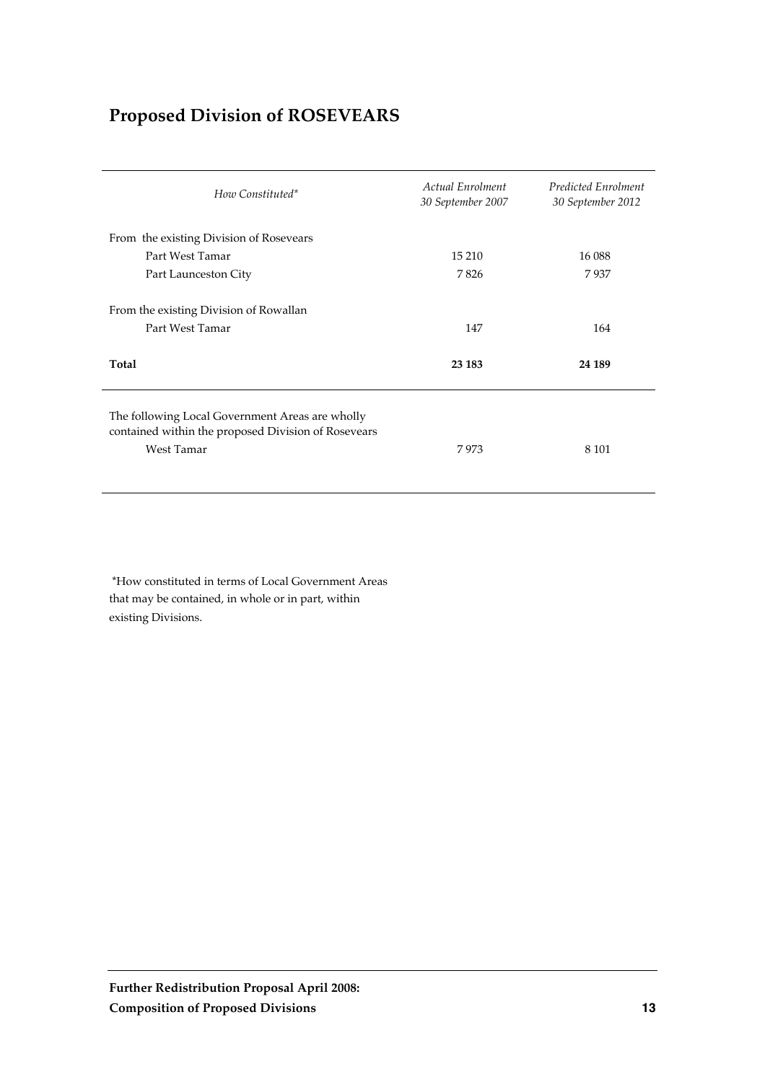# **Proposed Division of ROSEVEARS**

| How Constituted*                                                                                                     | Actual Enrolment<br>30 September 2007 | <b>Predicted Enrolment</b><br>30 September 2012 |
|----------------------------------------------------------------------------------------------------------------------|---------------------------------------|-------------------------------------------------|
| From the existing Division of Rosevears                                                                              |                                       |                                                 |
| Part West Tamar                                                                                                      | 15 210                                | 16 088                                          |
| Part Launceston City                                                                                                 | 7826                                  | 7937                                            |
| From the existing Division of Rowallan<br>Part West Tamar                                                            | 147                                   | 164                                             |
| Total                                                                                                                | 23 183                                | 24 189                                          |
| The following Local Government Areas are wholly<br>contained within the proposed Division of Rosevears<br>West Tamar | 7973                                  | 8 1 0 1                                         |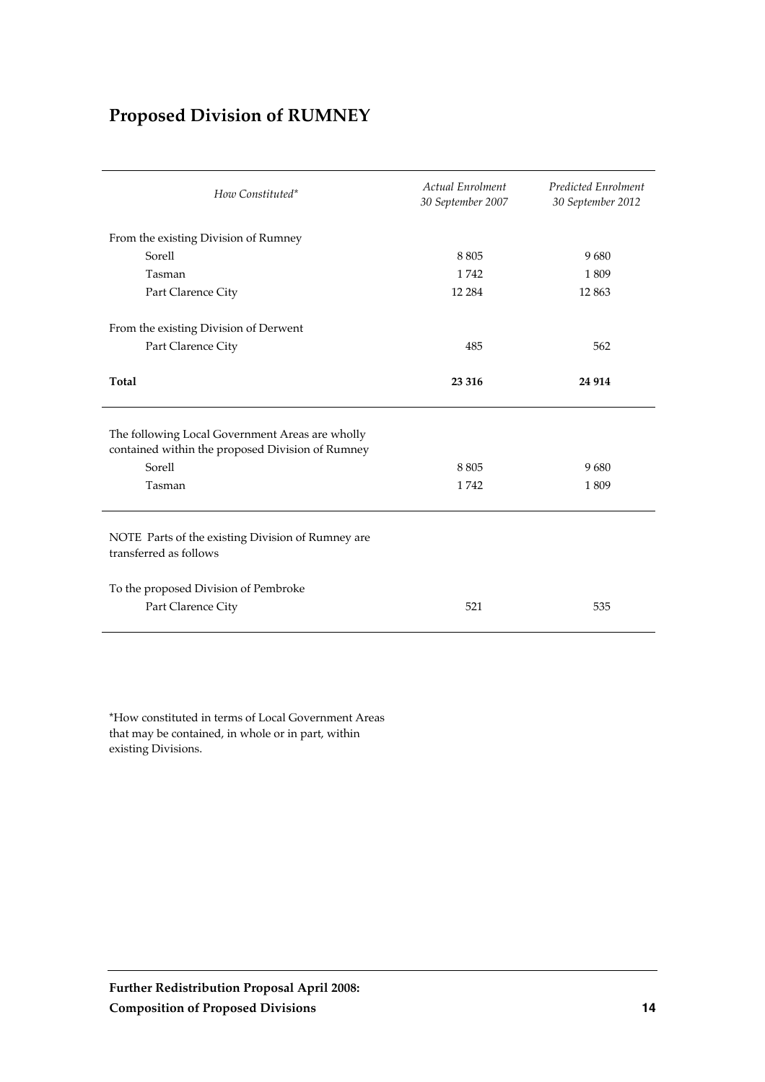# **Proposed Division of RUMNEY**

| How Constituted*                                                                                    | <b>Actual Enrolment</b><br>30 September 2007 | <b>Predicted Enrolment</b><br>30 September 2012 |
|-----------------------------------------------------------------------------------------------------|----------------------------------------------|-------------------------------------------------|
| From the existing Division of Rumney                                                                |                                              |                                                 |
| Sorell                                                                                              | 8805                                         | 9680                                            |
| Tasman                                                                                              | 1742                                         | 1809                                            |
| Part Clarence City                                                                                  | 12 2 8 4                                     | 12863                                           |
| From the existing Division of Derwent                                                               |                                              |                                                 |
| Part Clarence City                                                                                  | 485                                          | 562                                             |
| Total                                                                                               | 23 3 16                                      | 24 9 14                                         |
| The following Local Government Areas are wholly<br>contained within the proposed Division of Rumney |                                              |                                                 |
| Sorell                                                                                              | 8805                                         | 9680                                            |
| Tasman                                                                                              | 1742                                         | 1809                                            |
| NOTE Parts of the existing Division of Rumney are<br>transferred as follows                         |                                              |                                                 |
| To the proposed Division of Pembroke<br>Part Clarence City                                          | 521                                          | 535                                             |